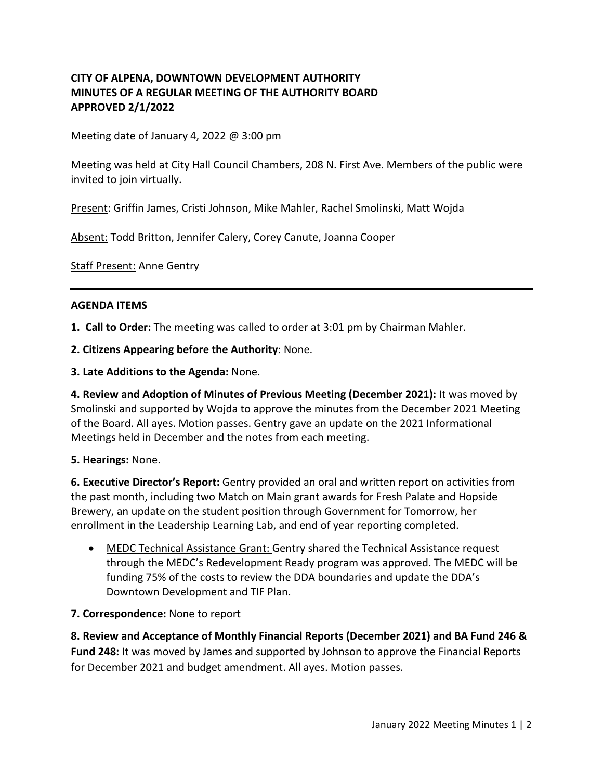# **CITY OF ALPENA, DOWNTOWN DEVELOPMENT AUTHORITY MINUTES OF A REGULAR MEETING OF THE AUTHORITY BOARD APPROVED 2/1/2022**

Meeting date of January 4, 2022 @ 3:00 pm

Meeting was held at City Hall Council Chambers, 208 N. First Ave. Members of the public were invited to join virtually.

Present: Griffin James, Cristi Johnson, Mike Mahler, Rachel Smolinski, Matt Wojda

Absent: Todd Britton, Jennifer Calery, Corey Canute, Joanna Cooper

Staff Present: Anne Gentry

#### **AGENDA ITEMS**

**1. Call to Order:** The meeting was called to order at 3:01 pm by Chairman Mahler.

**2. Citizens Appearing before the Authority**: None.

**3. Late Additions to the Agenda:** None.

**4. Review and Adoption of Minutes of Previous Meeting (December 2021):** It was moved by Smolinski and supported by Wojda to approve the minutes from the December 2021 Meeting of the Board. All ayes. Motion passes. Gentry gave an update on the 2021 Informational Meetings held in December and the notes from each meeting.

### **5. Hearings:** None.

**6. Executive Director's Report:** Gentry provided an oral and written report on activities from the past month, including two Match on Main grant awards for Fresh Palate and Hopside Brewery, an update on the student position through Government for Tomorrow, her enrollment in the Leadership Learning Lab, and end of year reporting completed.

• MEDC Technical Assistance Grant: Gentry shared the Technical Assistance request through the MEDC's Redevelopment Ready program was approved. The MEDC will be funding 75% of the costs to review the DDA boundaries and update the DDA's Downtown Development and TIF Plan.

### **7. Correspondence:** None to report

**8. Review and Acceptance of Monthly Financial Reports (December 2021) and BA Fund 246 & Fund 248:** It was moved by James and supported by Johnson to approve the Financial Reports for December 2021 and budget amendment. All ayes. Motion passes.